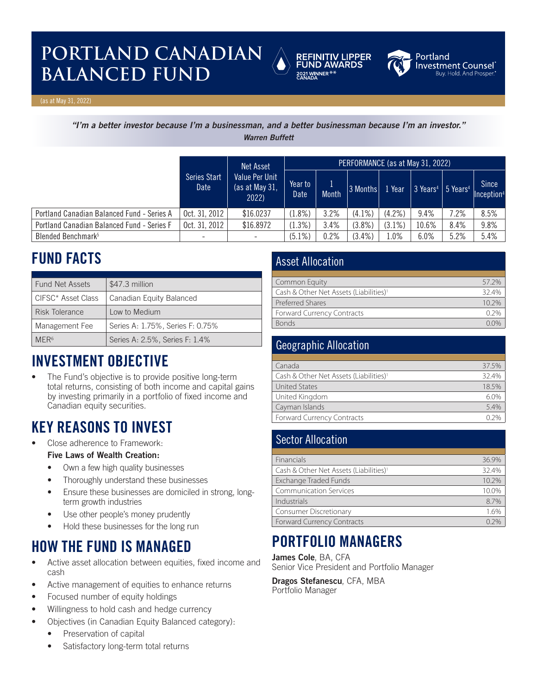# **PORTLAND CANADIAN BALANCED FUND EXAMPLED**





Portland **Investment Counsel**®<br><sup>Buy, Hold, And Prosper.®</sup>

(as at May 31, 2022)

*"I'm a better investor because I'm a businessman, and a better businessman because I'm an investor."*

*Warren Buffett*

|                                            |                              | <b>Net Asset</b>                 | PERFORMANCE (as at May 31, 2022) |              |           |                         |                                                                   |      |                                        |
|--------------------------------------------|------------------------------|----------------------------------|----------------------------------|--------------|-----------|-------------------------|-------------------------------------------------------------------|------|----------------------------------------|
|                                            | Series Start<br>Date<br>2022 | Value Per Unit<br>(as at May 31, | Year to<br>Date                  | <b>Month</b> | 3 Months  | $\sqrt{1 \text{ Year}}$ | $\frac{1}{3}$ Years <sup>4</sup> $\frac{1}{3}$ Years <sup>4</sup> |      | <b>Since</b><br>Inception <sup>4</sup> |
| Portland Canadian Balanced Fund - Series A | Oct. $31, 2012$              | \$16.0237                        | $(1.8\%)$                        | 3.2%         | $(4.1\%)$ | $(4.2\%)$               | 9.4%                                                              | 7.2% | 8.5%                                   |
| Portland Canadian Balanced Fund - Series F | Oct. 31, 2012                | \$16.8972                        | (1.3%)                           | 3.4%         | $(3.8\%)$ | $(3.1\%)$               | 10.6%                                                             | 8.4% | 9.8%                                   |
| Blended Benchmark <sup>5</sup>             |                              | ۰.                               | $(5.1\%)$                        | 0.2%         | $(3.4\%)$ | $1.0\%$                 | 6.0%                                                              | 5.2% | 5.4%                                   |

# **FUND FACTS**

| <b>Fund Net Assets</b> | \$47.3 million                   |
|------------------------|----------------------------------|
| CIFSC* Asset Class     | Canadian Equity Balanced         |
| Risk Tolerance         | Low to Medium                    |
| Management Fee         | Series A: 1.75%, Series F: 0.75% |
| MFR <sub>6</sub>       | Series A: 2.5%, Series F: 1.4%   |

## **INVESTMENT OBJECTIVE**

The Fund's objective is to provide positive long-term total returns, consisting of both income and capital gains by investing primarily in a portfolio of fixed income and Canadian equity securities.

## **KEY REASONS TO INVEST**

• Close adherence to Framework:

#### **Five Laws of Wealth Creation:**

- Own a few high quality businesses
- Thoroughly understand these businesses
- Ensure these businesses are domiciled in strong, longterm growth industries
- Use other people's money prudently
- Hold these businesses for the long run

## **HOW THE FUND IS MANAGED**

- Active asset allocation between equities, fixed income and cash
- Active management of equities to enhance returns
- Focused number of equity holdings
- Willingness to hold cash and hedge currency
- Objectives (in Canadian Equity Balanced category):
	- Preservation of capital
	- Satisfactory long-term total returns

### Asset Allocation

| Common Equity                                      | 57.2% |
|----------------------------------------------------|-------|
| Cash & Other Net Assets (Liabilities) <sup>1</sup> | 324%  |
| <b>Preferred Shares</b>                            | 102%  |
| <b>Forward Currency Contracts</b>                  |       |
| <b>Bonds</b>                                       |       |

### Geographic Allocation

| Canada                                             | 37.5%   |
|----------------------------------------------------|---------|
| Cash & Other Net Assets (Liabilities) <sup>1</sup> | 32.4%   |
| <b>United States</b>                               | 18.5%   |
| United Kingdom                                     | $6.0\%$ |
| Cayman Islands                                     | 5.4%    |
| <b>Forward Currency Contracts</b>                  |         |

### Sector Allocation

| Financials                                         | 36.9% |
|----------------------------------------------------|-------|
| Cash & Other Net Assets (Liabilities) <sup>1</sup> | 32.4% |
| Exchange Traded Funds                              | 10.2% |
| <b>Communication Services</b>                      | 10.0% |
| Industrials                                        | 8.7%  |
| Consumer Discretionary                             | 1.6%  |
| <b>Forward Currency Contracts</b>                  |       |

## **PORTFOLIO MANAGERS**

**James Cole**, BA, CFA

Senior Vice President and Portfolio Manager

**Dragos Stefanescu**, CFA, MBA Portfolio Manager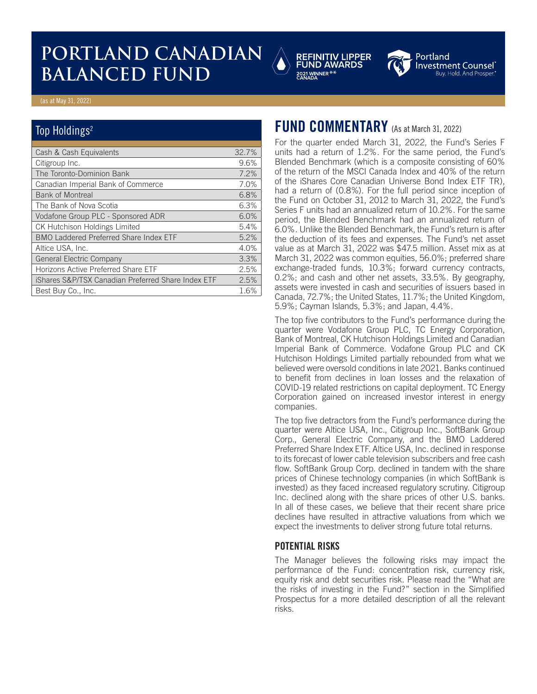# **PORTLAND CANADIAN BALANCED FUND<br>BALANCED FUND**





Investment Counsel® Buy. Hold. And Prospe

#### (as at May 31, 2022)

#### Top Holdings<sup>2</sup>

| Cash & Cash Equivalents                            | 32.7% |
|----------------------------------------------------|-------|
| Citigroup Inc.                                     | 9.6%  |
| The Toronto-Dominion Bank                          | 7.2%  |
| Canadian Imperial Bank of Commerce                 | 7.0%  |
| <b>Bank of Montreal</b>                            | 6.8%  |
| The Bank of Nova Scotia                            | 6.3%  |
| Vodafone Group PLC - Sponsored ADR                 | 6.0%  |
| <b>CK Hutchison Holdings Limited</b>               | 5.4%  |
| BMO Laddered Preferred Share Index ETF             | 5.2%  |
| Altice USA, Inc.                                   | 4.0%  |
| <b>General Electric Company</b>                    | 3.3%  |
| Horizons Active Preferred Share ETF                | 2.5%  |
| iShares S&P/TSX Canadian Preferred Share Index ETF | 2.5%  |
| Best Buy Co., Inc.                                 | 1.6%  |

## **FUND COMMENTARY** (As at March 31, 2022)

For the quarter ended March 31, 2022, the Fund's Series F units had a return of 1.2%. For the same period, the Fund's Blended Benchmark (which is a composite consisting of 60% of the return of the MSCI Canada Index and 40% of the return of the iShares Core Canadian Universe Bond Index ETF TR), had a return of (0.8%). For the full period since inception of the Fund on October 31, 2012 to March 31, 2022, the Fund's Series F units had an annualized return of 10.2%. For the same period, the Blended Benchmark had an annualized return of 6.0%. Unlike the Blended Benchmark, the Fund's return is after the deduction of its fees and expenses. The Fund's net asset value as at March 31, 2022 was \$47.5 million. Asset mix as at March 31, 2022 was common equities, 56.0%; preferred share exchange-traded funds, 10.3%; forward currency contracts, 0.2%; and cash and other net assets, 33.5%. By geography, assets were invested in cash and securities of issuers based in Canada, 72.7%; the United States, 11.7%; the United Kingdom, 5.9%; Cayman Islands, 5.3%; and Japan, 4.4%.

The top five contributors to the Fund's performance during the quarter were Vodafone Group PLC, TC Energy Corporation, Bank of Montreal, CK Hutchison Holdings Limited and Canadian Imperial Bank of Commerce. Vodafone Group PLC and CK Hutchison Holdings Limited partially rebounded from what we believed were oversold conditions in late 2021. Banks continued to benefit from declines in loan losses and the relaxation of COVID-19 related restrictions on capital deployment. TC Energy Corporation gained on increased investor interest in energy companies.

The top five detractors from the Fund's performance during the quarter were Altice USA, Inc., Citigroup Inc., SoftBank Group Corp., General Electric Company, and the BMO Laddered Preferred Share Index ETF. Altice USA, Inc. declined in response to its forecast of lower cable television subscribers and free cash flow. SoftBank Group Corp. declined in tandem with the share prices of Chinese technology companies (in which SoftBank is invested) as they faced increased regulatory scrutiny. Citigroup Inc. declined along with the share prices of other U.S. banks. In all of these cases, we believe that their recent share price declines have resulted in attractive valuations from which we expect the investments to deliver strong future total returns.

#### **POTENTIAL RISKS**

The Manager believes the following risks may impact the performance of the Fund: concentration risk, currency risk, equity risk and debt securities risk. Please read the "What are the risks of investing in the Fund?" section in the Simplified Prospectus for a more detailed description of all the relevant risks.